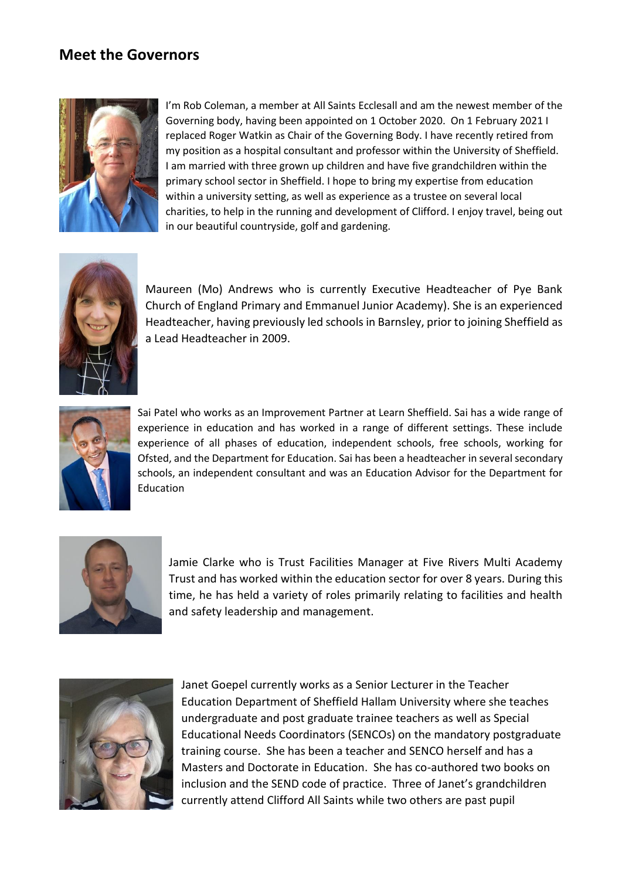## **Meet the Governors**



I'm Rob Coleman, a member at All Saints Ecclesall and am the newest member of the Governing body, having been appointed on 1 October 2020. On 1 February 2021 I replaced Roger Watkin as Chair of the Governing Body. I have recently retired from my position as a hospital consultant and professor within the University of Sheffield. I am married with three grown up children and have five grandchildren within the primary school sector in Sheffield. I hope to bring my expertise from education within a university setting, as well as experience as a trustee on several local charities, to help in the running and development of Clifford. I enjoy travel, being out in our beautiful countryside, golf and gardening.



Maureen (Mo) Andrews who is currently Executive Headteacher of Pye Bank Church of England Primary and Emmanuel Junior Academy). She is an experienced Headteacher, having previously led schools in Barnsley, prior to joining Sheffield as a Lead Headteacher in 2009.



Sai Patel who works as an Improvement Partner at Learn Sheffield. Sai has a wide range of experience in education and has worked in a range of different settings. These include experience of all phases of education, independent schools, free schools, working for Ofsted, and the Department for Education. Sai has been a headteacher in several secondary schools, an independent consultant and was an Education Advisor for the Department for Education



Jamie Clarke who is Trust Facilities Manager at Five Rivers Multi Academy Trust and has worked within the education sector for over 8 years. During this time, he has held a variety of roles primarily relating to facilities and health and safety leadership and management.



Janet Goepel currently works as a Senior Lecturer in the Teacher Education Department of Sheffield Hallam University where she teaches undergraduate and post graduate trainee teachers as well as Special Educational Needs Coordinators (SENCOs) on the mandatory postgraduate training course. She has been a teacher and SENCO herself and has a Masters and Doctorate in Education. She has co-authored two books on inclusion and the SEND code of practice. Three of Janet's grandchildren currently attend Clifford All Saints while two others are past pupil